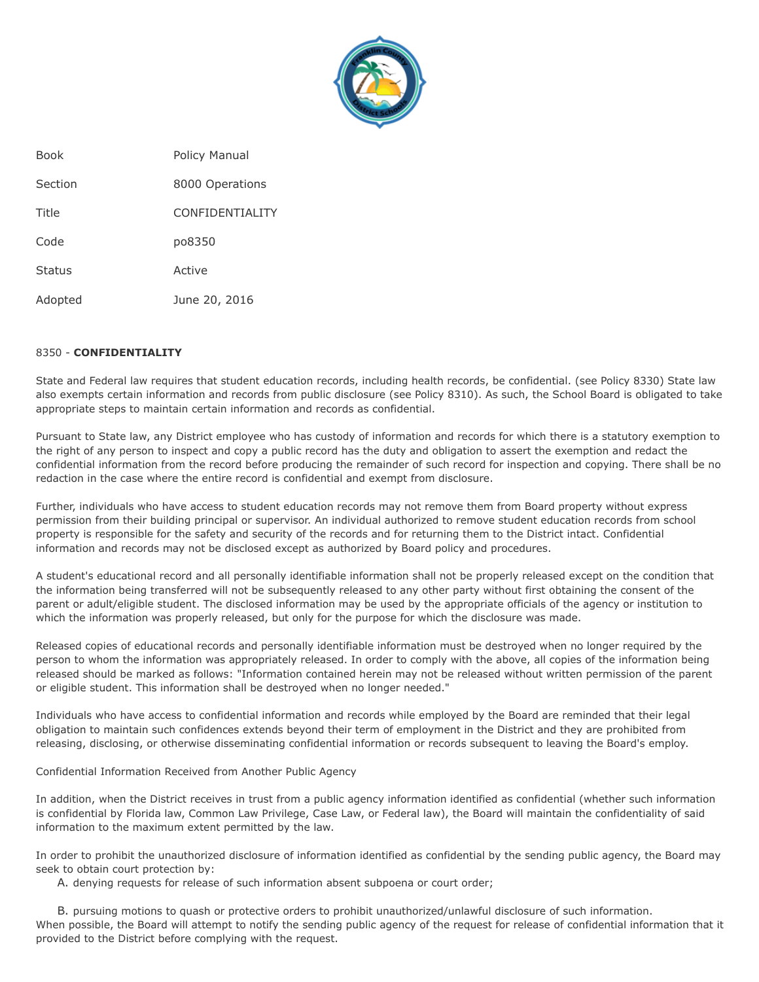

Book Policy Manual Section 8000 Operations Title CONFIDENTIALITY Code po8350 Status Active Adopted June 20, 2016

## 8350 - **CONFIDENTIALITY**

State and Federal law requires that student education records, including health records, be confidential. (see Policy 8330) State law also exempts certain information and records from public disclosure (see Policy 8310). As such, the School Board is obligated to take appropriate steps to maintain certain information and records as confidential.

Pursuant to State law, any District employee who has custody of information and records for which there is a statutory exemption to the right of any person to inspect and copy a public record has the duty and obligation to assert the exemption and redact the confidential information from the record before producing the remainder of such record for inspection and copying. There shall be no redaction in the case where the entire record is confidential and exempt from disclosure.

Further, individuals who have access to student education records may not remove them from Board property without express permission from their building principal or supervisor. An individual authorized to remove student education records from school property is responsible for the safety and security of the records and for returning them to the District intact. Confidential information and records may not be disclosed except as authorized by Board policy and procedures.

A student's educational record and all personally identifiable information shall not be properly released except on the condition that the information being transferred will not be subsequently released to any other party without first obtaining the consent of the parent or adult/eligible student. The disclosed information may be used by the appropriate officials of the agency or institution to which the information was properly released, but only for the purpose for which the disclosure was made.

Released copies of educational records and personally identifiable information must be destroyed when no longer required by the person to whom the information was appropriately released. In order to comply with the above, all copies of the information being released should be marked as follows: "Information contained herein may not be released without written permission of the parent or eligible student. This information shall be destroyed when no longer needed."

Individuals who have access to confidential information and records while employed by the Board are reminded that their legal obligation to maintain such confidences extends beyond their term of employment in the District and they are prohibited from releasing, disclosing, or otherwise disseminating confidential information or records subsequent to leaving the Board's employ.

## Confidential Information Received from Another Public Agency

In addition, when the District receives in trust from a public agency information identified as confidential (whether such information is confidential by Florida law, Common Law Privilege, Case Law, or Federal law), the Board will maintain the confidentiality of said information to the maximum extent permitted by the law.

In order to prohibit the unauthorized disclosure of information identified as confidential by the sending public agency, the Board may seek to obtain court protection by:

A. denying requests for release of such information absent subpoena or court order;

B. pursuing motions to quash or protective orders to prohibit unauthorized/unlawful disclosure of such information. When possible, the Board will attempt to notify the sending public agency of the request for release of confidential information that it provided to the District before complying with the request.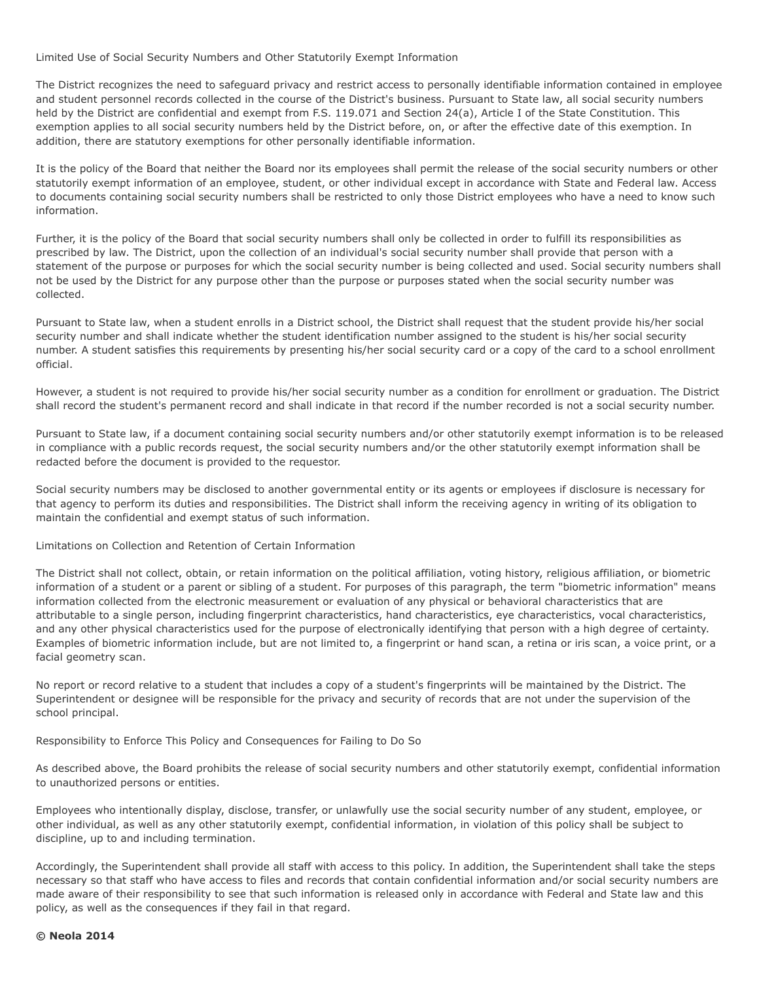Limited Use of Social Security Numbers and Other Statutorily Exempt Information

The District recognizes the need to safeguard privacy and restrict access to personally identifiable information contained in employee and student personnel records collected in the course of the District's business. Pursuant to State law, all social security numbers held by the District are confidential and exempt from F.S. 119.071 and Section 24(a), Article I of the State Constitution. This exemption applies to all social security numbers held by the District before, on, or after the effective date of this exemption. In addition, there are statutory exemptions for other personally identifiable information.

It is the policy of the Board that neither the Board nor its employees shall permit the release of the social security numbers or other statutorily exempt information of an employee, student, or other individual except in accordance with State and Federal law. Access to documents containing social security numbers shall be restricted to only those District employees who have a need to know such information.

Further, it is the policy of the Board that social security numbers shall only be collected in order to fulfill its responsibilities as prescribed by law. The District, upon the collection of an individual's social security number shall provide that person with a statement of the purpose or purposes for which the social security number is being collected and used. Social security numbers shall not be used by the District for any purpose other than the purpose or purposes stated when the social security number was collected.

Pursuant to State law, when a student enrolls in a District school, the District shall request that the student provide his/her social security number and shall indicate whether the student identification number assigned to the student is his/her social security number. A student satisfies this requirements by presenting his/her social security card or a copy of the card to a school enrollment official.

However, a student is not required to provide his/her social security number as a condition for enrollment or graduation. The District shall record the student's permanent record and shall indicate in that record if the number recorded is not a social security number.

Pursuant to State law, if a document containing social security numbers and/or other statutorily exempt information is to be released in compliance with a public records request, the social security numbers and/or the other statutorily exempt information shall be redacted before the document is provided to the requestor.

Social security numbers may be disclosed to another governmental entity or its agents or employees if disclosure is necessary for that agency to perform its duties and responsibilities. The District shall inform the receiving agency in writing of its obligation to maintain the confidential and exempt status of such information.

## Limitations on Collection and Retention of Certain Information

The District shall not collect, obtain, or retain information on the political affiliation, voting history, religious affiliation, or biometric information of a student or a parent or sibling of a student. For purposes of this paragraph, the term "biometric information" means information collected from the electronic measurement or evaluation of any physical or behavioral characteristics that are attributable to a single person, including fingerprint characteristics, hand characteristics, eye characteristics, vocal characteristics, and any other physical characteristics used for the purpose of electronically identifying that person with a high degree of certainty. Examples of biometric information include, but are not limited to, a fingerprint or hand scan, a retina or iris scan, a voice print, or a facial geometry scan.

No report or record relative to a student that includes a copy of a student's fingerprints will be maintained by the District. The Superintendent or designee will be responsible for the privacy and security of records that are not under the supervision of the school principal.

Responsibility to Enforce This Policy and Consequences for Failing to Do So

As described above, the Board prohibits the release of social security numbers and other statutorily exempt, confidential information to unauthorized persons or entities.

Employees who intentionally display, disclose, transfer, or unlawfully use the social security number of any student, employee, or other individual, as well as any other statutorily exempt, confidential information, in violation of this policy shall be subject to discipline, up to and including termination.

Accordingly, the Superintendent shall provide all staff with access to this policy. In addition, the Superintendent shall take the steps necessary so that staff who have access to files and records that contain confidential information and/or social security numbers are made aware of their responsibility to see that such information is released only in accordance with Federal and State law and this policy, as well as the consequences if they fail in that regard.

## **© Neola 2014**